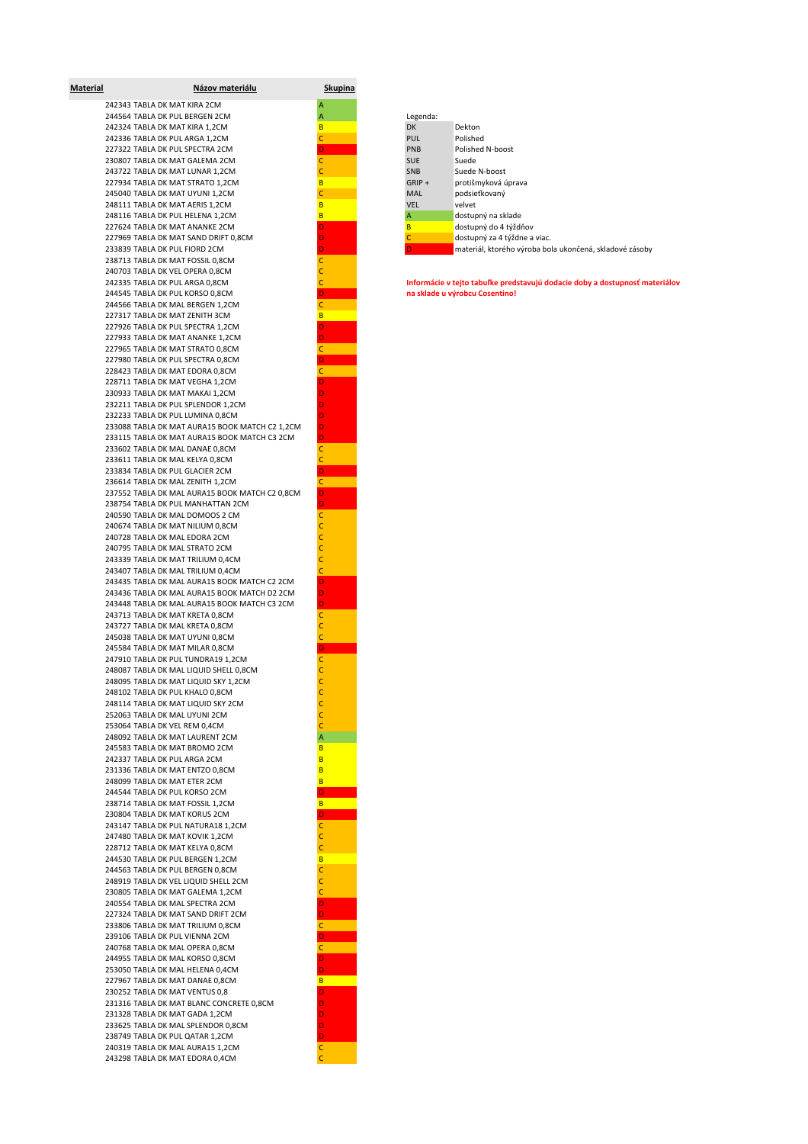| <b>Material</b> | <u>Názov materiálu</u>                         | <u>Skupina</u> |
|-----------------|------------------------------------------------|----------------|
|                 | 242343 TABLA DK MAT KIRA 2CM                   | Α              |
|                 | 244564 TABLA DK PUL BERGEN 2CM                 | A              |
|                 | 242324 TABLA DK MAT KIRA 1,2CM                 | B              |
|                 | 242336 TABLA DK PUL ARGA 1,2CM                 | C              |
|                 | 227322 TABLA DK PUL SPECTRA 2CM                | D              |
|                 | 230807 TABLA DK MAT GALEMA 2CM                 | Ċ              |
|                 | 243722 TABLA DK MAT LUNAR 1,2CM                | C              |
|                 | 227934 TABLA DK MAT STRATO 1,2CM               | B              |
|                 | 245040 TABLA DK MAT UYUNI 1,2CM                | Ċ              |
|                 | 248111 TABLA DK MAT AERIS 1,2CM                | B              |
|                 | 248116 TABLA DK PUL HELENA 1,2CM               | B              |
|                 | 227624 TABLA DK MAT ANANKE 2CM                 | D              |
|                 | 227969 TABLA DK MAT SAND DRIFT 0,8CM           | D              |
|                 | 233839 TABLA DK PUL FIORD 2CM                  | D              |
|                 | 238713 TABLA DK MAT FOSSIL 0,8CM               | C              |
|                 | 240703 TABLA DK VEL OPERA 0,8CM                | C              |
|                 | 242335 TABLA DK PUL ARGA 0,8CM                 | Ċ              |
|                 | 244545 TABLA DK PUL KORSO 0,8CM                | D              |
|                 | 244566 TABLA DK MAL BERGEN 1,2CM               | $\mathsf{C}$   |
|                 | 227317 TABLA DK MAT ZENITH 3CM                 | B              |
|                 | 227926 TABLA DK PUL SPECTRA 1,2CM              | D              |
|                 | 227933 TABLA DK MAT ANANKE 1,2CM               |                |
|                 | 227965 TABLA DK MAT STRATO 0,8CM               |                |
|                 | 227980 TABLA DK PUL SPECTRA 0,8CM              | D              |
|                 | 228423 TABLA DK MAT EDORA 0,8CM                | с              |
|                 |                                                |                |
|                 | 228711 TABLA DK MAT VEGHA 1,2CM                | D              |
|                 | 230933 TABLA DK MAT MAKAI 1,2CM                | D              |
|                 | 232211 TABLA DK PUL SPLENDOR 1,2CM             | D              |
|                 | 232233 TABLA DK PUL LUMINA 0,8CM               | D              |
|                 | 233088 TABLA DK MAT AURA15 BOOK MATCH C2 1,2CM | D              |
|                 | 233115 TABLA DK MAT AURA15 BOOK MATCH C3 2CM   | D              |
|                 | 233602 TABLA DK MAL DANAE 0,8CM                | C              |
|                 | 233611 TABLA DK MAL KELYA 0,8CM                | Ċ              |
|                 | 233834 TABLA DK PUL GLACIER 2CM                | D              |
|                 | 236614 TABLA DK MAL ZENITH 1,2CM               | C              |
|                 | 237552 TABLA DK MAL AURA15 BOOK MATCH C2 0,8CM | D              |
|                 | 238754 TABLA DK PUL MANHATTAN 2CM              | D              |
|                 | 240590 TABLA DK MAL DOMOOS 2 CM                | C              |
|                 | 240674 TABLA DK MAT NILIUM 0,8CM               | Ċ              |
|                 | 240728 TABLA DK MAL EDORA 2CM                  | C              |
|                 | 240795 TABLA DK MAL STRATO 2CM                 | Ċ              |
|                 | 243339 TABLA DK MAT TRILIUM 0,4CM              | Ċ              |
|                 | 243407 TABLA DK MAL TRILIUM 0,4CM              | C              |
|                 | 243435 TABLA DK MAL AURA15 BOOK MATCH C2 2CM   | D              |
|                 | 243436 TABLA DK MAL AURA15 BOOK MATCH D2 2CM   | D              |
|                 | 243448 TABLA DK MAL AURA15 BOOK MATCH C3 2CM   | D              |
|                 | 243713 TABLA DK MAT KRETA 0,8CM                | $\mathsf{C}$   |
|                 |                                                |                |
|                 | 243727 TABLA DK MAL KRETA 0,8CM                | C              |
|                 | 245038 TABLA DK MAT UYUNI 0,8CM                | C              |
|                 | 245584 TABLA DK MAT MILAR 0,8CM                | D              |
|                 | 247910 TABLA DK PUL TUNDRA19 1,2CM             | Ċ              |
|                 | 248087 TABLA DK MAL LIQUID SHELL 0,8CM         | C              |
|                 | 248095 TABLA DK MAT LIQUID SKY 1,2CM           | Ċ              |
|                 | 248102 TABLA DK PUL KHALO 0,8CM                |                |
|                 | 248114 TABLA DK MAT LIQUID SKY 2CM             | C              |
|                 | 252063 TABLA DK MAL UYUNI 2CM                  | C              |
|                 | 253064 TABLA DK VEL REM 0,4CM                  | Ċ              |
|                 | 248092 TABLA DK MAT LAURENT 2CM                | Α              |
|                 | 245583 TABLA DK MAT BROMO 2CM                  | B              |
|                 | 242337 TABLA DK PUL ARGA 2CM                   | B              |
|                 | 231336 TABLA DK MAT ENTZO 0,8CM                | B              |
|                 | 248099 TABLA DK MAT ETER 2CM                   | B              |
|                 | 244544 TABLA DK PUL KORSO 2CM                  | D              |
|                 |                                                |                |
|                 | 238714 TABLA DK MAT FOSSIL 1,2CM               | B              |
|                 | 230804 TABLA DK MAT KORUS 2CM                  | D.             |
|                 | 243147 TABLA DK PUL NATURA18 1,2CM             | $\mathsf{C}$   |
|                 | 247480 TABLA DK MAT KOVIK 1,2CM                | c              |
|                 | 228712 TABLA DK MAT KELYA 0,8CM                | C              |
|                 | 244530 TABLA DK PUL BERGEN 1,2CM               | B              |
|                 | 244563 TABLA DK PUL BERGEN 0,8CM               | Ċ              |
|                 | 248919 TABLA DK VEL LIQUID SHELL 2CM           | Ċ              |
|                 | 230805 TABLA DK MAT GALEMA 1,2CM               | Ċ              |
|                 | 240554 TABLA DK MAL SPECTRA 2CM                | D              |
|                 | 227324 TABLA DK MAT SAND DRIFT 2CM             |                |
|                 |                                                |                |
|                 | 233806 TABLA DK MAT TRILIUM 0,8CM              |                |
|                 | 239106 TABLA DK PUL VIENNA 2CM                 |                |
|                 | 240768 TABLA DK MAL OPERA 0,8CM                | c              |
|                 | 244955 TABLA DK MAL KORSO 0,8CM                | D              |
|                 | 253050 TABLA DK MAL HELENA 0,4CM               | D              |
|                 | 227967 TABLA DK MAT DANAE 0,8CM                | B              |
|                 | 230252 TABLA DK MAT VENTUS 0,8                 | D              |
|                 | 231316 TABLA DK MAT BLANC CONCRETE 0,8CM       | D              |
|                 | 231328 TABLA DK MAT GADA 1,2CM                 | D              |
|                 | 233625 TABLA DK MAL SPLENDOR 0,8CM             | D              |
|                 | 238749 TABLA DK PUL QATAR 1,2CM                | D              |
|                 | 240319 TABLA DK MAL AURA15 1,2CM               | $\mathsf C$    |
|                 | 243298 TABLA DK MAT EDORA 0,4CM                | c              |
|                 |                                                |                |

| 244564 TABLA DK PUL BERGEN 2CM       | Legenda:   |                                                         |
|--------------------------------------|------------|---------------------------------------------------------|
| 242324 TABLA DK MAT KIRA 1.2CM       | <b>DK</b>  | Dekton                                                  |
| 242336 TABLA DK PUL ARGA 1.2CM       | <b>PUL</b> | Polished                                                |
| 227322 TABLA DK PUL SPECTRA 2CM      | <b>PNB</b> | Polished N-boost                                        |
| 230807 TABLA DK MAT GALEMA 2CM       | SUE        | Suede                                                   |
| 243722 TABLA DK MAT LUNAR 1.2CM      | <b>SNB</b> | Suede N-boost                                           |
| 227934 TABLA DK MAT STRATO 1.2CM     | $GRIP +$   | protišmyková úprava                                     |
| 245040 TABLA DK MAT UYUNI 1.2CM      | <b>MAL</b> | podsieťkovaný                                           |
| 248111 TABLA DK MAT AERIS 1.2CM      | <b>VEL</b> | velvet                                                  |
| 248116 TABLA DK PUL HELENA 1.2CM     |            | dostupný na sklade                                      |
| 227624 TABLA DK MAT ANANKE 2CM       |            | dostupný do 4 týždňov                                   |
| 227969 TABLA DK MAT SAND DRIFT 0.8CM |            | dostupný za 4 týždne a viac.                            |
| 233839 TABLA DK PUL FIORD 2CM        |            | materiál, ktorého výroba bola ukončená, skladové zásoby |
|                                      |            |                                                         |

242335 TABLA DK PUL ARGA 0,8CM C **Informácie v tejto tabuľke predstavujú dodacie doby a dostupnosť materiálov**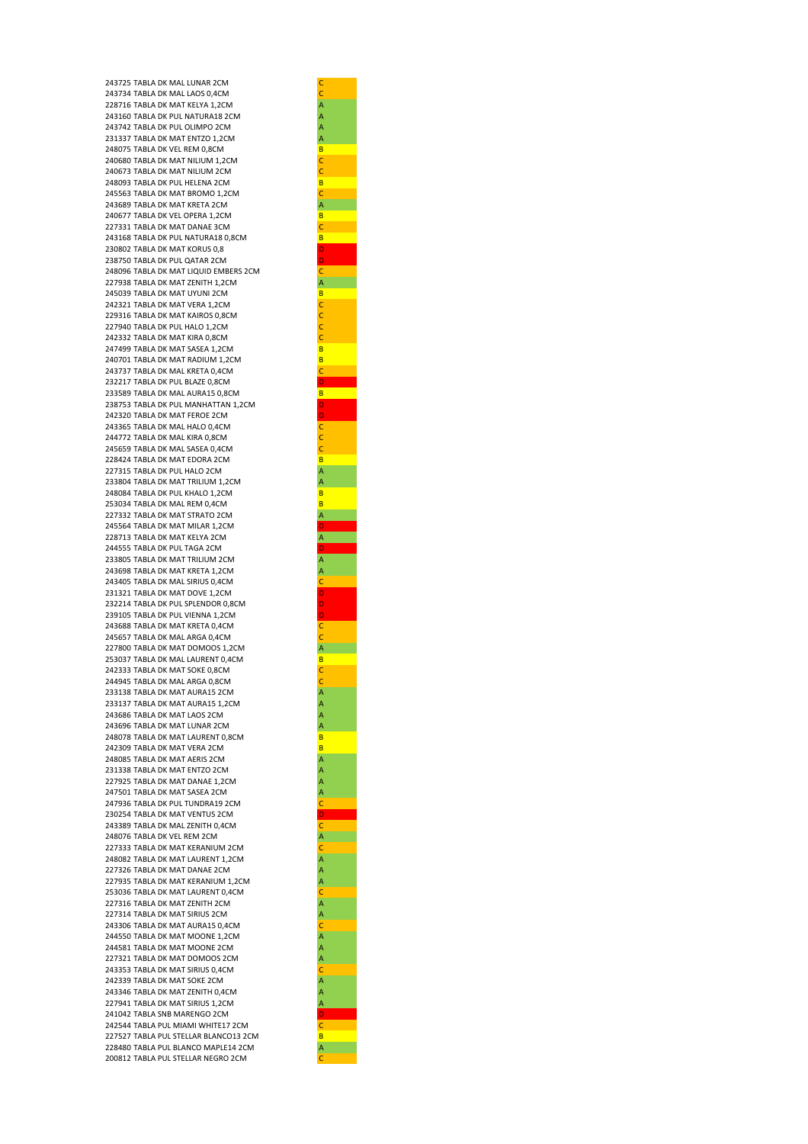243725 TABLA DK MAL LUNAR 2CM 243734 TABLA DK MAL LAOS 0,4CM CHAOS 228716 TABLA DK MAT KELYA 1,2CM CHAOS CHAOS A 228716 TABLA DK MAT KELYA 1,2CM A<br>243160 TABLA DK PUL NATURA18 2CM A 243160 TABLA DK PUL NATURA18 2CM 243742 TABLA DK PUL OLIMPO 2CM<br>231337 TABLA DK MAT ENTZO 1,2CM A 231337 TABLA DK MAT ENTZO 1.2CM 248075 TABLA DK VEL REM 0,8CM B<br>240680 TABLA DK MAT NILIUM 1,2CM B 240680 TABLA DK MAT NILIUM 1,2CM<br>240673 TABLA DK MAT NILIUM 2CM 240673 TABLA DK MAT NILIUM 2CM 248093 TABLA DK PUL HELENA 2CM B 245563 TABLA DK MAT BROMO 1,2CM<br>243689 TABLA DK MAT KRETA 2CM 243689 TABLA DK MAT KRETA 2CM 240677 TABLA DK VEL OPERA 1,2CM B 227331 TABLA DK MAT DANAE 3CM C 243168 TABLA DK PUL NATURA18 0.8CM B 230802 TABLA DK MAT KORUS 0,8 D 238750 TABLA DK PUL QATAR 2CM D 248096 TABLA DK MAT LIQUID EMBERS 2CM 227938 TABLA DK MAT ZENITH 1,2CM 245039 TABLA DK MAT UYUNI 2CM B<br>242321 TABLA DK MAT VERA 1,2CM C 242321 TABLA DK MAT VERA 1,2CM 229316 TABLA DK MAT KAIROS 0,8CM CONTROLLER TO A CONTROL CONTROLLER 227940 TABLA DK PUL HALO 1,2CM<br>242332 TABLA DK MAT KIRA 0,8CM CO 242332 TABLA DK MAT KIRA 0,8CM 247499 TABLA DK MAT SASEA 1,2CM BLOCK 240701 TABLA DK MAT RADILIM 1, 2CM B 243737 TABLA DK MAL KRETA 0.4CM 232217 TABLA DK PUL BLAZE 0,8CM 233589 TABLA DK MAL AURA15 0,8CM 238753 TABLA DK PUL MANHATTAN 1,2CM D 242320 TABLA DK MAT FEROE 2CM 243365 TABLA DK MAL HALO 0,4CM 244772 TABLA DK MAL KIRA 0.8CM 245659 TABLA DK MAL SASEA 0,4CM COM 228424 TABLA DK MAT EDORA 2CM B 227315 TABLA DK PUL HALO 2CM A 233804 TABLA DK MAT TRILIUM 1.2CM 248084 TABLA DK PUL KHALO 1.2CM B 253034 TABLA DK MAL REM 0.4CM 227332 TABLA DK MAT STRATO 2CM 245564 TABLA DK MAT MILAR 1,2CM 228713 TABLA DK MAT KELYA 2CM 244555 TABLA DK PUL TAGA 2CM 233805 TABLA DK MAT TRILIUM 2CM 243698 TABLA DK MAT KRETA 1,2CM A 243405 TABLA DK MAL SIRIUS 0.4CM 231321 TABLA DK MAT DOVE 1,2CM 232214 TABLA DK PUL SPLENDOR 0.8CM 239105 TABLA DK PUL VIENNA 1.2CM 243688 TABLA DK MAT KRETA 0,4CM 245657 TABLA DK MAL ARGA 0,4CM C 227800 TABLA DK MAT DOMOOS 1,2CM 253037 TABLA DK MAL LAURENT 0,4CM B 242333 TABLA DK MAT SOKE 0,8CM C 244945 TABLA DK MAL ARGA 0,8CM<br>
233138 TABLA DK MAT AURA15 2CM<br>
233137 TABLA DK MAT AURA15 1,2CM<br>
243686 TABLA DK MAT LUNAR 2CM<br>
243696 TABLA DK MAT LUNAR 2CM<br>
A 233138 TABLA DK MAT AURA15 2CM 233137 TABLA DK MAT AURA15 1.2CM 243686 TABLA DK MAT LAOS 2CM 243696 TABLA DK MAT LUNAR 2CM 248078 TABLA DK MAT LAURENT 0,8CM 242309 TABLA DK MAT VERA 2CM B 248085 TABLA DK MAT AERIS 2CM A 231338 TABLA DK MAT ENTZO 2CM 227925 TABLA DK MAT DANAE 1,2CM A 247501 TABLA DK MAT SASEA 2CM A 247936 TABLA DK PUL TUNDRA19 2CM 230254 TABLA DK MAT VENTUS 2CM D 243389 TABLA DK MAL ZENITH 0,4CM<br>248076 TABLA DK VEL REM 2CM CM 248076 TABLA DK VEL REM 2CM 227333 TABLA DK MAT KERANIUM 2CM 248082 TABLA DK MAT LAURENT 1,2CM 227326 TABLA DK MAT DANAE 2CM A<br>227935 TABLA DK MAT KERANIUM 1,2CM A 227935 TABLA DK MAT KERANIUM 1,2CM 253036 TABLA DK MAT LAURENT 0,4CM 227316 TABLA DK MAT ZENITH 2CM<br>227314 TABLA DK MAT SIRIUS 2CM A 227314 TABLA DK MAT SIRIUS 2CM A 243306 TABLA DK MAT AURA15 0,4CM 244550 TABLA DK MAT MOONE 1.2CM 244581 TABLA DK MAT MOONE 2CM A<br>227321 TABLA DK MAT DOMOOS 2CM A 227321 TABLA DK MAT DOMOOS 2CM 243353 TABLA DK MAT SIRIUS 0,4CM CHARA 242339 TABLA DK MAT SOKE 2CM CHARA CHARA A 242339 TABLA DK MAT SOKE 2CM 243346 TABLA DK MAT ZENITH 0,4CM 227941 TABLA DK MAT SIRIUS 1,2CM A 241042 TABLA SNB MARENGO 2CM 242544 TABLA PUL MIAMI WHITE17 2CM 227527 TABLA PUL STELLAR BLANCO13 2CM 228480 TABLA PUL BLANCO MAPLE14 2CM 200812 TABLA PUL STELLAR NEGRO 2CM

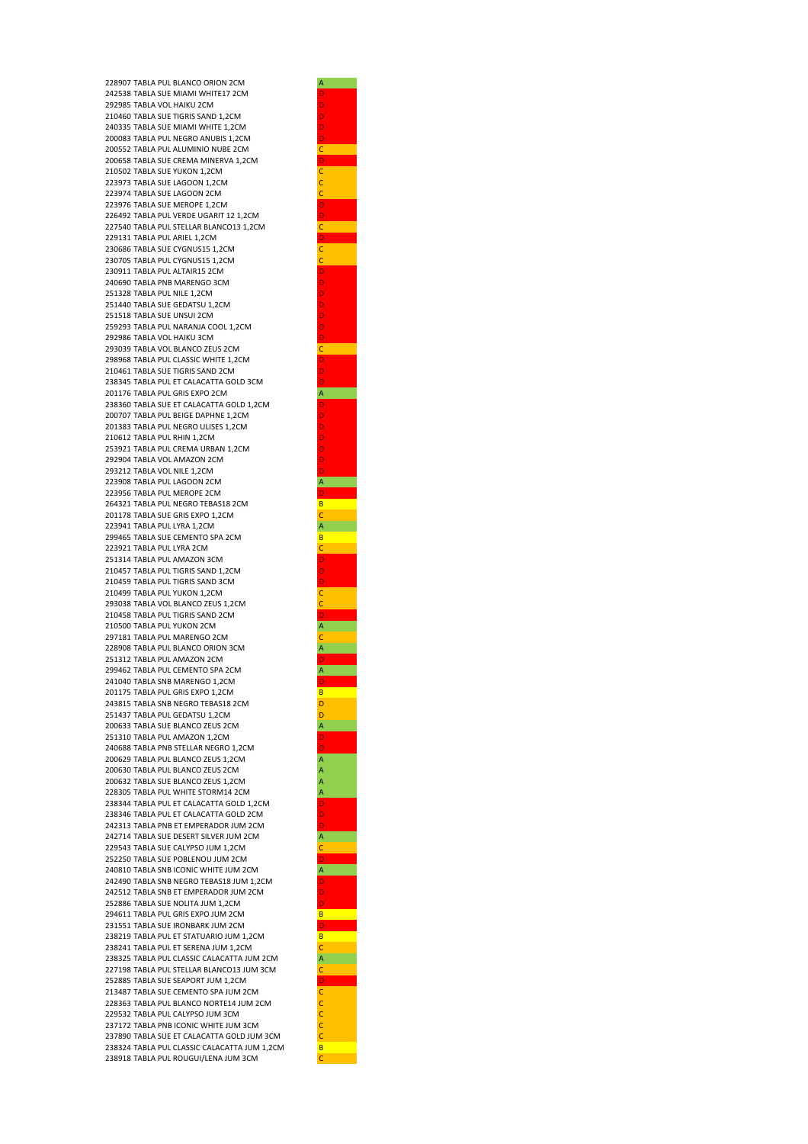228907 TABLA PUL BLANCO ORION 2CM 242538 TABLA SUE MIAMI WHITE17 2CM 292985 TABLA VOL HAIKU 2CM D 210460 TABLA SUE TIGRIS SAND 1, 2CM 240335 TABLA SUE MIAMI WHITE 1.2CM 200083 TABLA PUL NEGRO ANUBIS 1.2CM 200552 TABLA PUL ALUMINIO NUBE 2CM C 200658 TABLA SUE CREMA MINERVA 1,2CM 210502 TABLA SUE YUKON 1,2CM C 223973 TABLA SUE LAGOON 1,2CM 223974 TABLA SUE LAGOON 2CM 223976 TABLA SUF MEROPE 1,2CM 226492 TABLA PUL VERDE UGARIT 12 1,2CM 227540 TABLA PUL STELLAR BLANCO13 1,2CM C 229131 TARLA PUL ARIEL 1,2CM 230686 TABLA SUE CYGNUS15 1,2CM 230705 TABLA PUL CYGNUS15 1,2CM C 230911 TABLA PUL ALTAIR15 2CM 240690 TABLA PNB MARENGO 3CM 251328 TABLA PUL NILE 1,2CM 251440 TABLA SUE GEDATSU 1,2CM D 251518 TABLA SUE UNSUI 2CM D 259293 TABLA PUL NARANJA COOL 1,2CM D 292986 TABLA VOL HAIKU 3CM D 293039 TABLA VOL BLANCO ZELIS 2CM 298968 TABLA PUL CLASSIC WHITE 1,2CM 210461 TABLA SUE TIGRIS SAND 2CM 238345 TABLA PUL ET CALACATTA GOLD 3CM D 201176 TABLA PUL GRIS EXPO 2CM 238360 TABLA SUE ET CALACATTA GOLD 1,2CM 200707 TABLA PUL BEIGE DAPHNE 1,2CM 201383 TABLA PUL NEGRO ULISES 1,2CM D 210612 TABLA PUL RHIN 1.2CM 253921 TABLA PUL CREMA URBAN 1,2CM 292904 TABLA VOL AMAZON 2CM 293212 TABLA VOL NILE 1.2CM 223908 TABLA PUL LAGOON 2CM 223956 TABLA PUL MEROPE 2CM 264321 TABLA PUL NEGRO TEBAS18 2CM 201178 TABLA SUE GRIS EXPO 1,2CM 223941 TABLA PUL LYRA 1,2CM A 299465 TABLA SUE CEMENTO SPA 2CM B 223921 TABLA PUL LYRA 2CM 251314 TABLA PUL AMAZON 3CM 210457 TABLA PUL TIGRIS SAND 1,2CM 210459 TABLA PUL TIGRIS SAND 3CM 210499 TABLA PUL YUKON 1,2CM C 293038 TABLA VOL BLANCO ZEUS 1,2CM C 210458 TABLA PUL TIGRIS SAND 2CM 210500 TABLA PUL YUKON 2CM A 297181 TABLA PUL MARENGO 2CM 228908 TABLA PUL BLANCO ORION 3CM 251312 TABLA PUL AMAZON 2CM D 299462 TABLA PUL CEMENTO SPA 2CM 241040 TABLA SNB MARENGO 1.2CM 201175 TABLA PUL GRIS EXPO 1,2CM B 243815 TABLA SNB NEGRO TEBAS18 2CM 251437 TABLA PUL GEDATSU 1,2CM 200633 TABLA SUE BLANCO ZEUS 2CM 251310 TABLA PUL AMAZON 1,2CM 240688 TABLA PNB STELLAR NEGRO 1,2CM D 200629 TABLA PUL BLANCO ZEUS 1,2CM A 200630 TABLA PUL BLANCO ZEUS 2CM A 200632 TABLA SUE BLANCO ZEUS 1,2CM 228305 TABLA PUL WHITE STORM14 2CM 238344 TABLA PUL ET CALACATTA GOLD 1,2CM D 238346 TABLA PUL ET CALACATTA GOLD 2CM D 242313 TABLA PNB ET EMPERADOR JUM 2CM 242714 TABLA SUE DESERT SILVER JUM 2CM A 229543 TABLA SUE CALYPSO JUM 1,2CM C 252250 TABLA SUE POBLENOU JUM 2CM 240810 TABLA SNB ICONIC WHITE JUM 2CM A 242490 TABLA SNB NEGRO TEBAS18 JUM 1,2CM D 242512 TABLA SNB ET EMPERADOR JUM 2CM 252886 TABLA SUE NOLITA JUM 1,2CM D 294611 TABLA PUL GRIS EXPO JUM 2CM B 231551 TABLA SUE IRONBARK JUM 2CM 238219 TABLA PUL ET STATUARIO JUM 1,2CM B 238241 TABLA PUL ET SERENA JUM 1,2CM C 238325 TABLA PUL CLASSIC CALACATTA JUM 2CM A 227198 TABLA PUL STELLAR BLANCO13 JUM 3CM 252885 TABLA SUE SEAPORT JUM 1,2CM D 213487 TABLA SUE CEMENTO SPA JUM 2CM 228363 TABLA PUL BLANCO NORTE14 JUM 2CM 229532 TABLA PUL CALYPSO JUM 3CM 237172 TABLA PNB ICONIC WHITE JUM 3CM 237890 TABLA SUE ET CALACATTA GOLD JUM 3CM C 238324 TABLA PUL CLASSIC CALACATTA JUM 1,2CM B 238918 TABLA PUL ROUGUI/LENA JUM 3CM

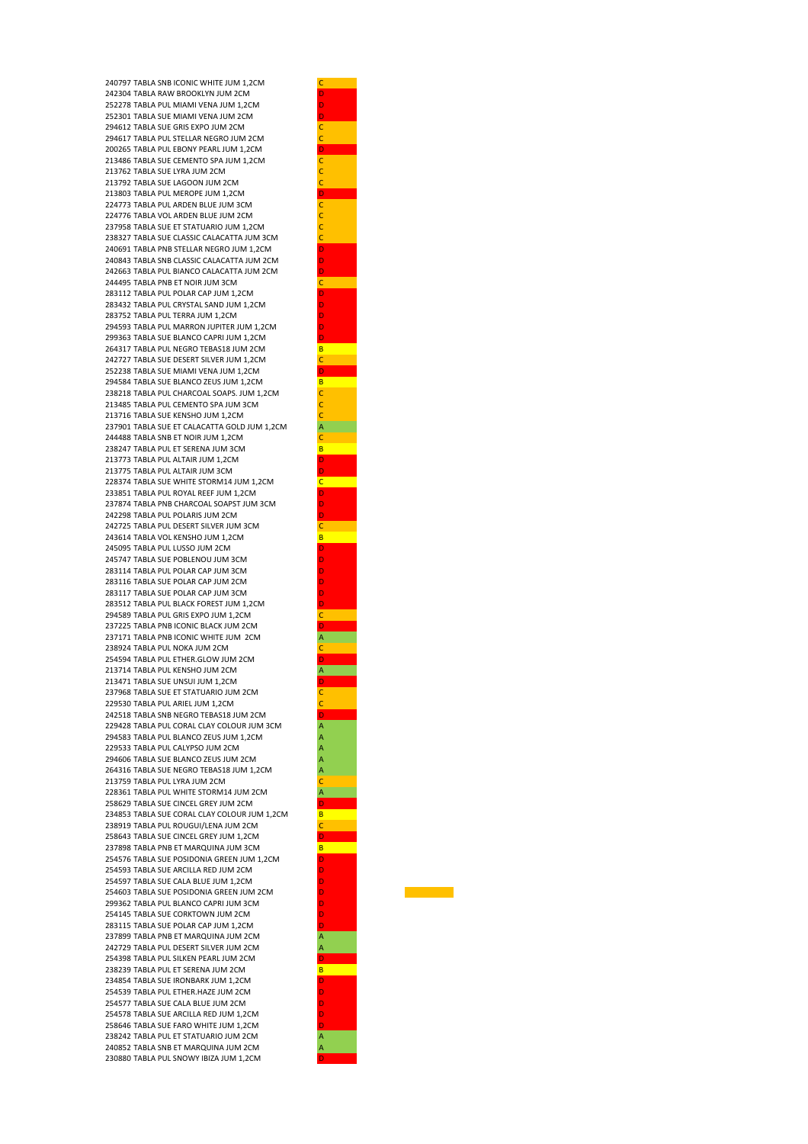240797 TABLA SNB ICONIC WHITE JUM 1,2CM C 242304 TABLA RAW BROOKLYN JUM 2CM 252278 TABLA PUL MIAMI VENA JUM 1,2CM 252301 TABLA SUE MIAMI VENA JUM 2CM D 294612 TABLA SUE GRIS EXPO JUM 2CM 294617 TABLA PUL STELLAR NEGRO JUM 2CM 200265 TABLA PUL EBONY PEARL JUM 1,2CM D 213486 TABLA SUE CEMENTO SPA JUM 1,2CM C 213762 TABLA SUE LYRA JUM 2CM 213792 TABLA SUE LAGOON JUM 2CM 213803 TABLA PUL MEROPE JUM 1,2CM D 224773 TABLA PUL ARDEN BLUF JUM 3CM 224776 TABLA VOL ARDEN BLUE JUM 2CM 237958 TABLA SUE ET STATUARIO JUM 1.2CM 238327 TABLA SUE CLASSIC CALACATTA JUM 3CM C 240691 TABLA PNB STELLAR NEGRO JUM 1, 2CM 240843 TABLA SNB CLASSIC CALACATTA JUM 2CM D 242663 TABLA PUL BIANCO CALACATTA JUM 2CM D 244495 TABLA PNB ET NOIR JUM 3CM 283112 TABLA PUL POLAR CAP JUM 1,2CM 283432 TABLA PUL CRYSTAL SAND JUM 1,2CM D 283752 TABLA PUL TERRA JUM 1,2CM D 294593 TABLA PUL MARRON JUPITER JUM 1,2CM 299363 TABLA SUE BLANCO CAPRI JUM 1,2CM D 264317 TABLA PUL NEGRO TEBAS18 JUM 2CM B 242727 TABLA SUE DESERT SILVER JUM 1, 2CM 252238 TABLA SUE MIAMI VENA JUM 1,2CM D 294584 TABLA SUE BLANCO ZEUS JUM 1,2CM B 238218 TABLA PUL CHARCOAL SOAPS. JUM 1,2CM C 213485 TABLA PUL CEMENTO SPA JUM 3CM 213716 TABLA SUE KENSHO JUM 1,2CM C 237901 TABLA SUE ET CALACATTA GOLD JUM 1,2CM A 244488 TABLA SNB ET NOIR JUM 1,2CM C 238247 TABLA PUL ET SERENA JUM 3CM B 213773 TABLA PUL ALTAIR JUM 1, 2CM 213775 TABLA PUL ALTAIR JUM 3CM D 228374 TABLA SUE WHITE STORM14 JUM 1,2CM 233851 TABLA PUL ROYAL REEF JUM 1,2CM D 237874 TABLA PNB CHARCOAL SOAPST JUM 3CM 242298 TABLA PUL POLARIS JUM 2CM 242725 TABLA PUL DESERT SILVER JUM 3CM 243614 TABLA VOL KENSHO JUM 1,2CM B 245095 TABLA PUL LUSSO JUM 2CM 245747 TABLA SUE POBLENOU JUM 3CM 283114 TABLA PUL POLAR CAP JUM 3CM 283116 TABLA SUE POLAR CAP JUM 2CM 283117 TABLA SUE POLAR CAP JUM 3CM 283512 TABLA PUL BLACK FOREST JUM 1.2CM 294589 TABLA PUL GRIS EXPO JUM 1,2CM C 237225 TABLA PNB ICONIC BLACK JUM 2CM D 237171 TABLA PNB ICONIC WHITE JUM 2CM 238924 TABLA PUL NOKA JUM 2CM 254594 TABLA PUL ETHER.GLOW JUM 2CM 213714 TABLA PUL KENSHO JUM 2CM 213471 TABLA SUE UNSUI JUM 1.2CM 237968 TABLA SUE ET STATUARIO JUM 2CM 229530 TABLA PUL ARIEL JUM 1,2CM C 242518 TABLA SNB NEGRO TEBAS18 JUM 2CM 229428 TABLA PUL CORAL CLAY COLOUR JUM 3CM 294583 TABLA PUL BLANCO ZEUS JUM 1,2CM 229533 TABLA PUL CALYPSO JUM 2CM A 294606 TABLA SUE BLANCO ZEUS JUM 2CM 264316 TABLA SUE NEGRO TEBAS18 JUM 1,2CM 213759 TABLA PUL LYRA JUM 2CM 228361 TABLA PUL WHITE STORM14 JUM 2CM 258629 TABLA SUE CINCEL GREY JUM 2CM 234853 TABLA SUE CORAL CLAY COLOUR JUM 1,2CM 238919 TABLA PUL ROUGUI/LENA JUM 2CM 258643 TABLA SUE CINCEL GREY JUM 1,2CM D 237898 TABLA PNB ET MARQUINA JUM 3CM 254576 TABLA SUE POSIDONIA GREEN JUM 1,2CM D 254593 TABLA SUE ARCILLA RED JUM 2CM D 254597 TABLA SUE CALA BLUE JUM 1,2CM D 254603 TABLA SUE POSIDONIA GREEN JUM 2CM 299362 TABLA PUL BLANCO CAPRI JUM 3CM D 254145 TABLA SUE CORKTOWN JUM 2CM D 283115 TABLA SUE POLAR CAP JUM 1,2CM 237899 TABLA PNB ET MAROUINA JUM 2CM 242729 TABLA PUL DESERT SILVER JUM 2CM A 254398 TABLA PUL SILKEN PEARL JUM 2CM D 238239 TABLA PUL ET SERENA JUM 2CM B 234854 TABLA SUE IRONBARK JUM 1.2CM 254539 TABLA PUL ETHER.HAZE JUM 2CM D 254577 TABLA SUE CALA BLUE JUM 2CM D 254578 TABLA SUE ARCILLA RED JUM 1,2CM D 258646 TABLA SUE FARO WHITE JUM 1,2CM D 238242 TABLA PUL ET STATUARIO JUM 2CM A 240852 TABLA SNB ET MARQUINA JUM 2CM A 230880 TABLA PUL SNOWY IBIZA JUM 1,2CM